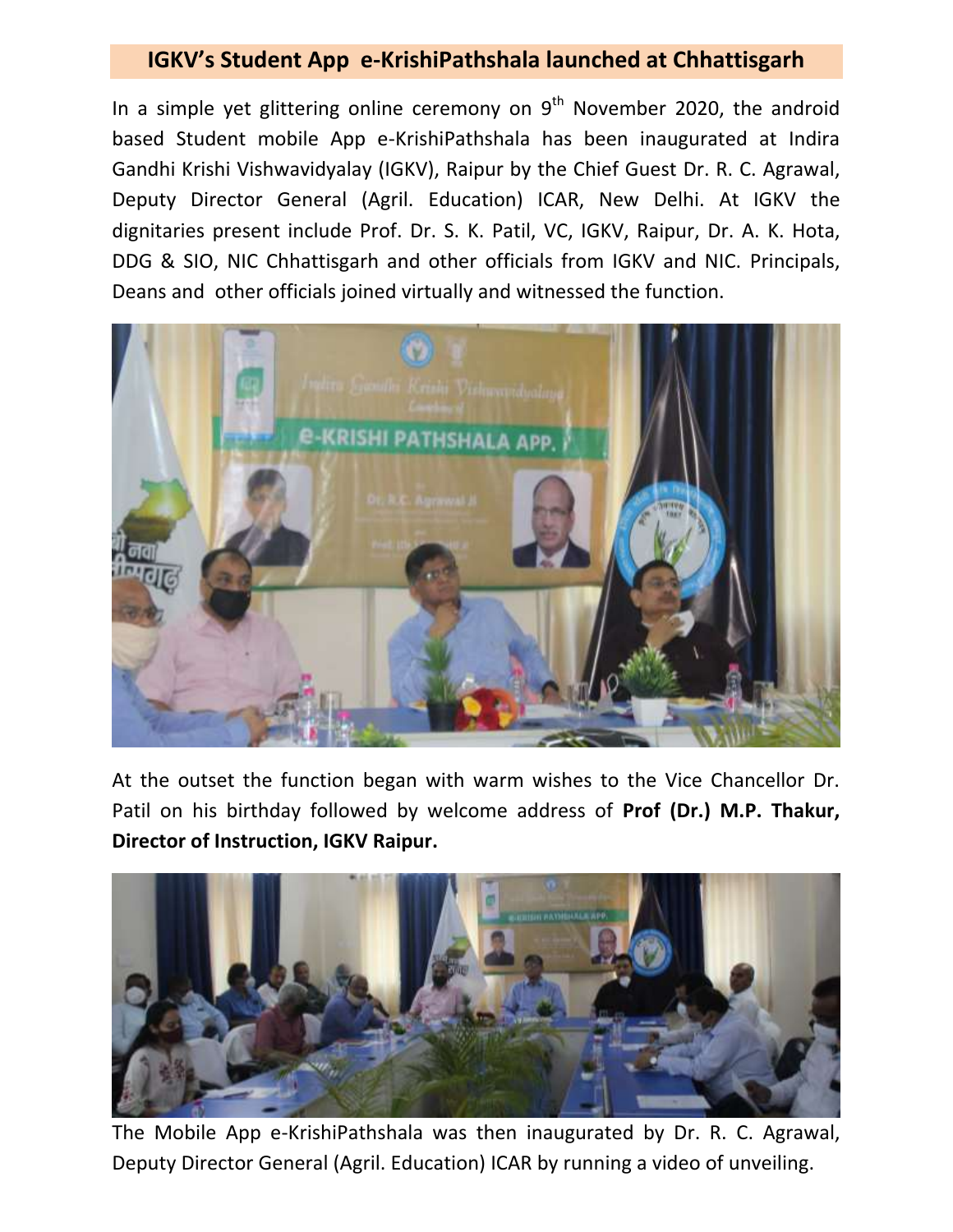## **IGKV's Student App e-KrishiPathshala launched at Chhattisgarh**

In a simple yet glittering online ceremony on  $9^{th}$  November 2020, the android based Student mobile App e-KrishiPathshala has been inaugurated at Indira Gandhi Krishi Vishwavidyalay (IGKV), Raipur by the Chief Guest Dr. R. C. Agrawal, Deputy Director General (Agril. Education) ICAR, New Delhi. At IGKV the dignitaries present include Prof. Dr. S. K. Patil, VC, IGKV, Raipur, Dr. A. K. Hota, DDG & SIO, NIC Chhattisgarh and other officials from IGKV and NIC. Principals, Deans and other officials joined virtually and witnessed the function.



At the outset the function began with warm wishes to the Vice Chancellor Dr. Patil on his birthday followed by welcome address of **Prof (Dr.) M.P. Thakur, Director of Instruction, IGKV Raipur.** 



The Mobile App e-KrishiPathshala was then inaugurated by Dr. R. C. Agrawal, Deputy Director General (Agril. Education) ICAR by running a video of unveiling.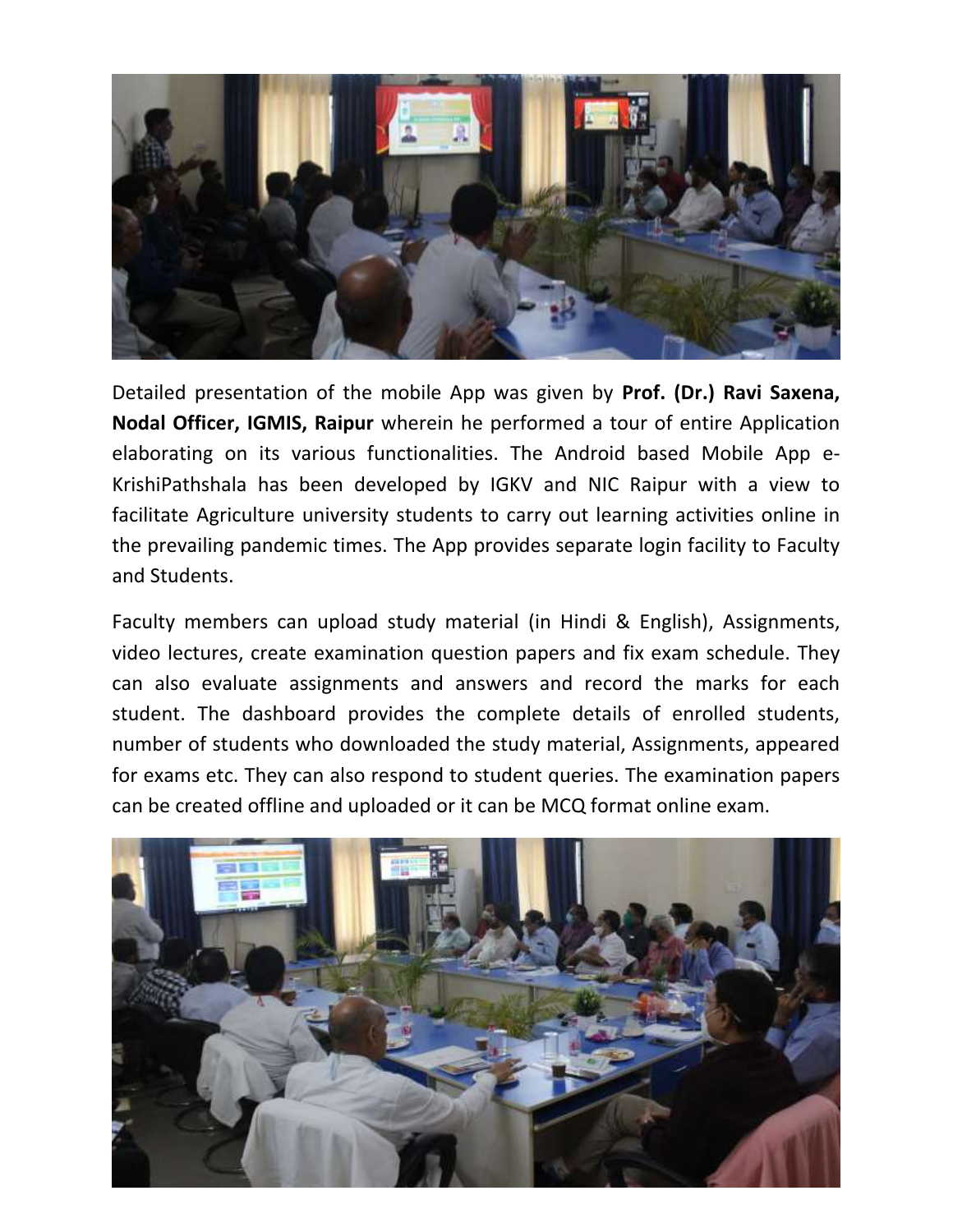

Detailed presentation of the mobile App was given by **Prof. (Dr.) Ravi Saxena, Nodal Officer, IGMIS, Raipur** wherein he performed a tour of entire Application elaborating on its various functionalities. The Android based Mobile App e-KrishiPathshala has been developed by IGKV and NIC Raipur with a view to facilitate Agriculture university students to carry out learning activities online in the prevailing pandemic times. The App provides separate login facility to Faculty and Students.

Faculty members can upload study material (in Hindi & English), Assignments, video lectures, create examination question papers and fix exam schedule. They can also evaluate assignments and answers and record the marks for each student. The dashboard provides the complete details of enrolled students, number of students who downloaded the study material, Assignments, appeared for exams etc. They can also respond to student queries. The examination papers can be created offline and uploaded or it can be MCQ format online exam.

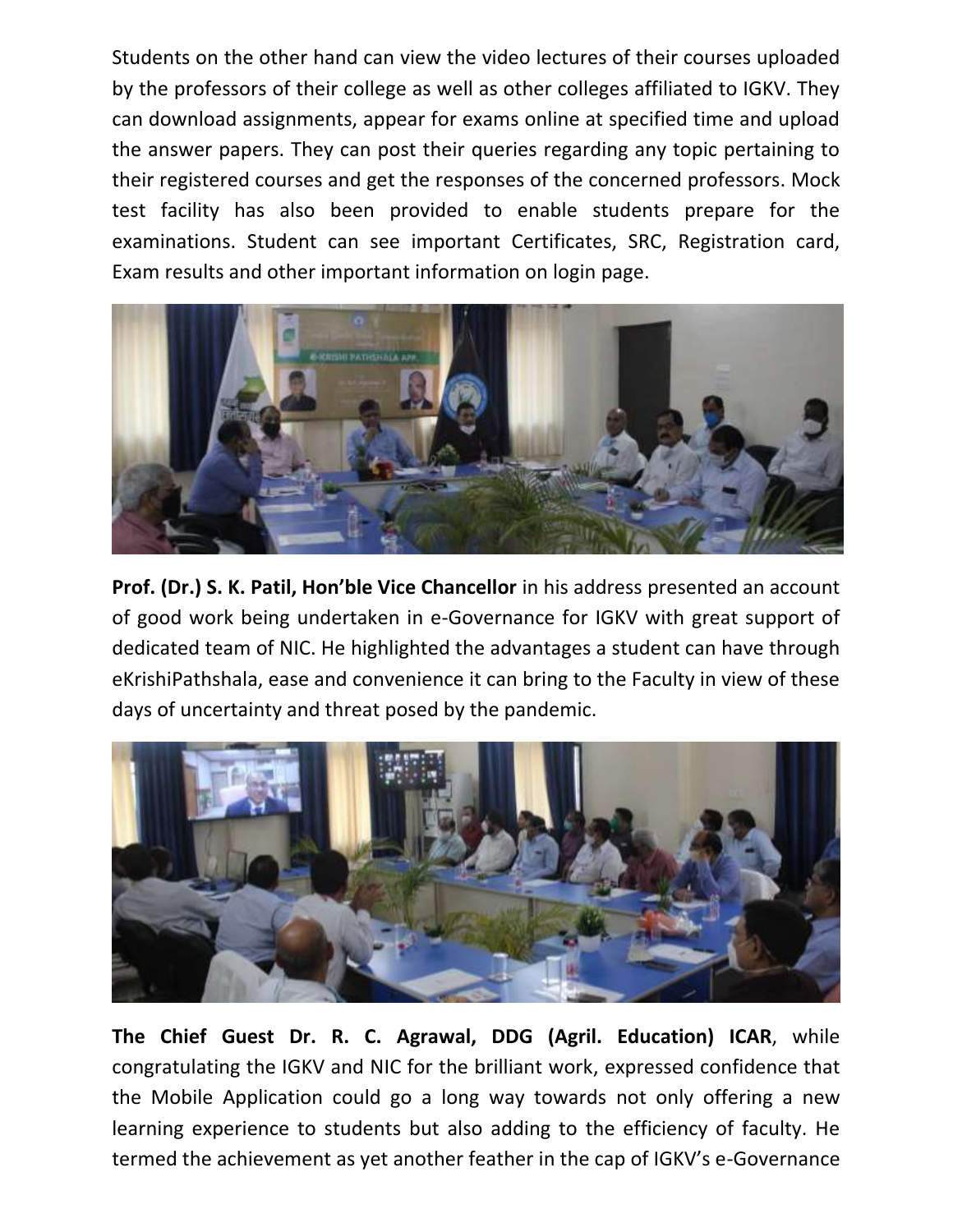Students on the other hand can view the video lectures of their courses uploaded by the professors of their college as well as other colleges affiliated to IGKV. They can download assignments, appear for exams online at specified time and upload the answer papers. They can post their queries regarding any topic pertaining to their registered courses and get the responses of the concerned professors. Mock test facility has also been provided to enable students prepare for the examinations. Student can see important Certificates, SRC, Registration card, Exam results and other important information on login page.



**Prof. (Dr.) S. K. Patil, Hon'ble Vice Chancellor** in his address presented an account of good work being undertaken in e-Governance for IGKV with great support of dedicated team of NIC. He highlighted the advantages a student can have through eKrishiPathshala, ease and convenience it can bring to the Faculty in view of these days of uncertainty and threat posed by the pandemic.



**The Chief Guest Dr. R. C. Agrawal, DDG (Agril. Education) ICAR**, while congratulating the IGKV and NIC for the brilliant work, expressed confidence that the Mobile Application could go a long way towards not only offering a new learning experience to students but also adding to the efficiency of faculty. He termed the achievement as yet another feather in the cap of IGKV's e-Governance